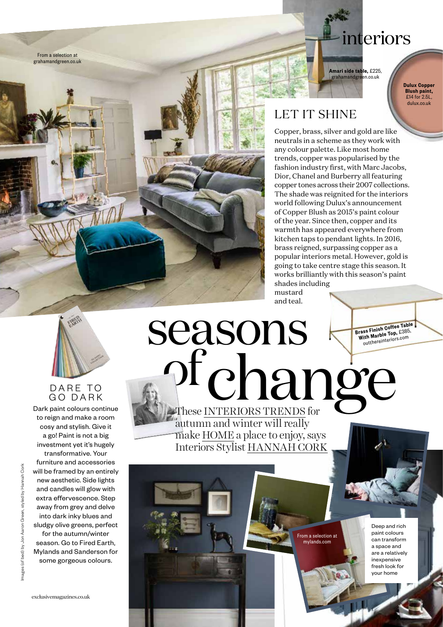

## interiors

Amari side table, £225, nandgreen.co.uk

> Dulux Copper Blush paint, £14 for 2.5L dulux.co.uk

### LET IT SHINE

Copper, brass, silver and gold are like neutrals in a scheme as they work with any colour palette. Like most home trends, copper was popularised by the fashion industry first, with Marc Jacobs, Dior, Chanel and Burberry all featuring copper tones across their 2007 collections. The shade was reignited for the interiors world following Dulux's announcement of Copper Blush as 2015's paint colour of the year. Since then, copper and its warmth has appeared everywhere from kitchen taps to pendant lights. In 2016, brass reigned, surpassing copper as a popular interiors metal. However, gold is going to take centre stage this season. It works brilliantly with this season's paint shades including

> Deep and rich paint colours can transform a space and are a relatively inexpensive fresh look for your home

From a selection at mylands.com

mustard and teal.



#### DARE TO GO DARK

Dark paint colours continue to reign and make a room cosy and stylish. Give it a go! Paint is not a big investment yet it's hugely transformative. Your furniture and accessories will be framed by an entirely new aesthetic. Side lights and candles will glow with extra effervescence. Step away from grey and delve into dark inky blues and sludgy olive greens, perfect for the autumn/winter season. Go to Fired Earth, Mylands and Sanderson for some gorgeous colours.

## seasons of change These INTERIORS TRENDS Brass Finish Coffee Table With Marble Top, £385, outthereinteriors.com

autumn and winter will really make HOME a place to enjoy, says Interiors Stylist HANNAH CORK